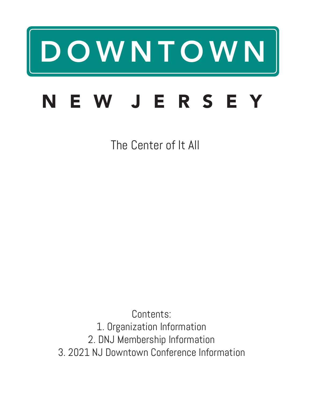# DOWNTOWN

## NEW JERSEY

The Center of It All

Contents: 1. Organization Information 2. DNJ Membership Information 3. 2021 NJ Downtown Conference Information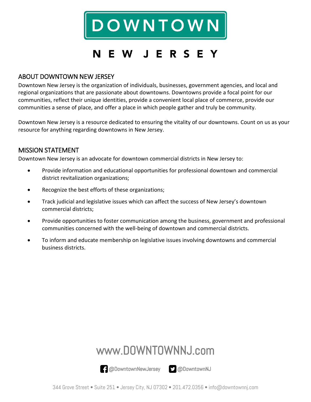

## N E W J E R S E Y

#### ABOUT DOWNTOWN NEW JERSEY

Downtown New Jersey is the organization of individuals, businesses, government agencies, and local and regional organizations that are passionate about downtowns. Downtowns provide a focal point for our communities, reflect their unique identities, provide a convenient local place of commerce, provide our communities a sense of place, and offer a place in which people gather and truly be community.

Downtown New Jersey is a resource dedicated to ensuring the vitality of our downtowns. Count on us as your resource for anything regarding downtowns in New Jersey.

#### MISSION STATEMENT

Downtown New Jersey is an advocate for downtown commercial districts in New Jersey to:

- Provide information and educational opportunities for professional downtown and commercial district revitalization organizations;
- Recognize the best efforts of these organizations;
- Track judicial and legislative issues which can affect the success of New Jersey's downtown commercial districts;
- Provide opportunities to foster communication among the business, government and professional communities concerned with the well-being of downtown and commercial districts.
- To inform and educate membership on legislative issues involving downtowns and commercial business districts.

## www.DOWNTOWNNJ.com

@DowntownNewJersey @DowntownNJ

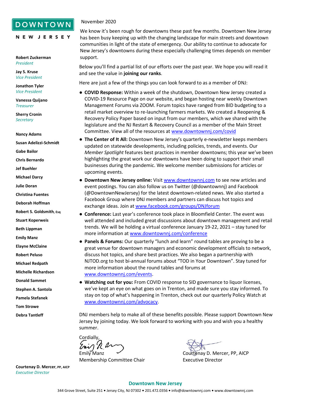#### **DOWNTOWN**

NEW JERSEY

#### November 2020

**Robert Zuckerman** *President*

**Jay S. Kruse** *Vice President*

**Jonathon Tyler** *Vice President*

**Vanessa Quijano** *Treasurer*

**Sherry Cronin** *Secretary*

**Nancy Adams**

**Susan Adelizzi-Schmidt**

**Gabe Bailor**

**Chris Bernardo**

**Jef Buehler**

**Michael Darcy**

**Julie Doran**

**Christina Fuentes**

**Deborah Hoffman**

**Robert S. Goldsmith, Esq**

**Stuart Koperweis**

**Beth Lippman**

**Emily Manz**

**Elayne McClaine** 

**Robert Peluso**

**Michael Redpath**

**Michelle Richardson**

**Donald Sammet**

**Stephen A. Santola**

**Pamela Stefanek**

**Tom Strowe**

**Debra Tantleff**

We know it's been rough for downtowns these past few months. Downtown New Jersey has been busy keeping up with the changing landscape for main streets and downtown communities in light of the state of emergency. Our ability to continue to advocate for New Jersey's downtowns during these especially challenging times depends on member support.

Below you'll find a partial list of our efforts over the past year. We hope you will read it and see the value in **joining our ranks**.

Here are just a few of the things you can look forward to as a member of DNJ:

- **COVID Response:** Within a week of the shutdown, Downtown New Jersey created a COVID-19 Resource Page on our website, and began hosting near weekly Downtown Management Forums via ZOOM. Forum topics have ranged from BID budgeting to a retail market overview to re-launching farmers markets. We created a Reopening & Recovery Policy Paper based on input from our members, which we shared with the legislature and the NJ Restart & Recovery Council as a member of the Main Street Committee. View all of the resources a[t www.downtownnj.com/covid](http://www.downtownnj.com/covid)
- **The Center of It All:** Downtown New Jersey's quarterly e-newsletter keeps members updated on statewide developments, including policies, trends, and events. Our *Member Spotlight* features best practices in member downtowns; this year we've been highlighting the great work our downtowns have been doing to support their small businesses during the pandemic. We welcome member submissions for articles or upcoming events.
	- **Downtown New Jersey online:** Visi[t www.downtownnj.com](http://www.downtownnj.com/) to see new articles and event postings. You can also follow us on Twitter (@downtownnj) and Facebook (@DowntownNewJersey) for the latest downtown-related news. We also started a Facebook Group where DNJ members and partners can discuss hot topics and exchange ideas. Join at www.facebook.com/groups/DNJforum
	- **Conference:** Last year's conference took place in Bloomfield Center. The event was well attended and included great discussions about downtown management and retail trends. We will be holding a virtual conference January 19-22, 2021 – stay tuned for more information a[t www.downtownnj.com/conference](http://www.downtownnj.com/conference)
- **Panels & Forums:** Our quarterly "lunch and learn" round tables are proving to be a great venue for downtown managers and economic development officials to network, discuss hot topics, and share best practices. We also began a partnership with NJTOD.org to host bi-annual forums about "TOD in Your Downtown". Stay tuned for more information about the round tables and forums at [www.downtownnj.com/events.](http://www.downtownnj.com/events)
- **Watching out for you:** From COVID response to SID governance to liquor licenses, we've kept an eye on what goes on in Trenton, and made sure you stay informed. To stay on top of what's happening in Trenton, check out our quarterly Policy Watch at [www.downtownnj.com/advocacy.](http://www.downtownnj.com/advocacy)

DNJ members help to make all of these benefits possible. Please support Downtown New Jersey by joining today. We look forward to working with you and wish you a healthy summer.

Cordially,

Membership Committee Chair **Executive Director** 

Emily Manz  $\sim$  Courtenay D. Mercer, PP, AICP

**Courtenay D. Mercer, PP, AICP** *Executive Director*

#### **Downtown New Jersey**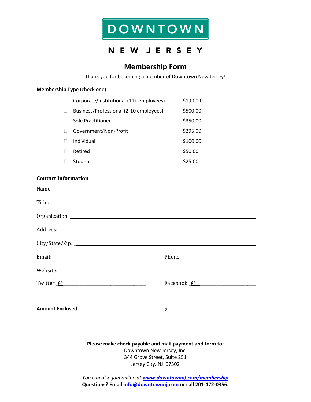

## NEW JERSEY

#### **Membership Form**

Thank you for becoming a member of Downtown New Jersey!

#### **Membership Type** (check one)

| Corporate/Institutional (11+ employees) | \$1,000.00 |
|-----------------------------------------|------------|
| Business/Professional (2-10 employees)  | \$500.00   |
| Sole Practitioner                       | \$350.00   |
| Government/Non-Profit                   | \$295.00   |
| Individual                              | \$100.00   |
| Retired                                 | \$50.00    |
| Student                                 | \$25.00    |

#### **Contact Information**

| <b>Amount Enclosed:</b> | $\frac{1}{2}$ |
|-------------------------|---------------|

**Please make check payable and mail payment and form to:** Downtown New Jersey, Inc. 344 Grove Street, Suite 251 Jersey City, NJ 07302

*You can also join online at <www.downtownnj.com/membership>* **Questions? Email [info@downtownnj.com](mailto:info@downtownnj.com) or call 201-472-0356.**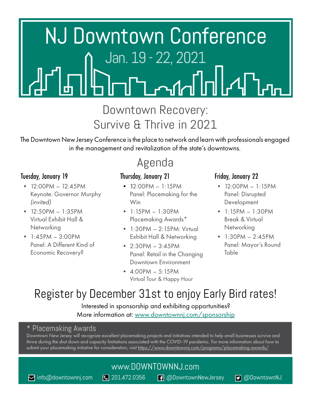

## Downtown Recovery: Survive & Thrive in 2021

The Downtown New Jersey Conference is the place to network and learn with professionals engaged in the management and revitalization of the state's downtowns.

## Agenda

### Tuesday, January 19

- 12:00PM 12:45PM Keynote: Governor Murphy *(invited)*
- $12:50PM 1:35PM$ Virtual Exhibit Hall & **Networking**
- $\bullet$  1:45PM 3:00PM Panel: A Different Kind of Economic Recovery?

## Thursday, January 21

- $\bullet$  12:00PM 1:15PM Panel: Placemaking for the Win
- $\bullet$  1:15PM 1:30PM Placemaking Awards\*
- 1:30PM 2:15PM: Virtual Exhibit Hall & Networking
- $2:30PM 3:45PM$ Panel: Retail in the Changing Downtown Environment
- $-4:00PM 5:15PM$ Virtual Tour & Happy Hour

### Friday, January 22

- $12:00PM 1:15PM$ Panel: Disrupted Development
- $\bullet$  1:15PM 1:30PM Break & Virtual **Networking**
- $1:30PM 2:45PM$ Panel: Mayor's Round Table

## Register by December 31st to enjoy Early Bird rates!

#### Interested in sponsorship and exhibiting opportunities? More information at: [www.downtownnj.com/](http://www.downtownnj.com/programs/2018-conference/sponsorship/)sponsorship

#### \* Placemaking Awards

Downtown New Jersey will recognize excellent placemaking projects and initiatives intended to help small businesses survive and thrive during the shut down and capacity limitations associated with the COVID-19 pandemic. For more information about how to submit your placemaking initiative for consideration, visit <u>[https://www.downtownnj.com/programs/placemaking-awards/](https://www.downtownnj.com/programs/placemaking-awards/ )</u>

## [www.DOWNTOWNNJ.com](http://www.DOWNTOWNNJ.com)

**[info@downtownnj.com](mailto:info%40downtownnj.com?subject=DNJ%20Conference%20Inquiry) Q** 201.472.0356 **@@** [@DowntownNewJersey](https://www.facebook.com/DowntownNewJersey/) **@** [@DowntownNJ](https://twitter.com/downtownnj)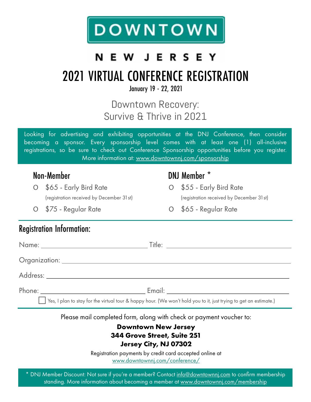

## **NEW JERSEY**

## 2021 VIRTUAL CONFERENCE REGISTRATION

January 19 - 22, 2021

## Downtown Recovery: Survive & Thrive in 2021

Looking for advertising and exhibiting opportunities at the DNJ Conference, then consider becoming a sponsor. Every sponsorship level comes with at least one (1) all-inclusive registrations, so be sure to check out Conference Sponsorship opportunities before you register. More information at: [www.downtownnj.com/s](http://www.downtownnj.com/programs/2018-conference/sponsorship/)ponsorship

Ο \$65 - Early Bird Rate (registration received by December 31st)

## Non-Member DNJ Member \*

Ο \$55 - Early Bird Rate (registration received by December 31st)

Ο \$75 - Regular Rate

Ο \$65 - Regular Rate

## Registration Information:

| Email: Email: Email: All and All and All and All and All and All and All and All and All and All and All and All and All and All and All and All and All and All and All and All and All and All and All and All and All and A |
|--------------------------------------------------------------------------------------------------------------------------------------------------------------------------------------------------------------------------------|

Yes, I plan to stay for the virtual tour & happy hour. (We won't hold you to it, just trying to get an estimate.)

Please mail completed form, along with check or payment voucher to:

#### **Downtown New Jersey 344 Grove Street, Suite 251 Jersey City, NJ 07302**

Registration payments by credit card accepted online at [www.downtownnj.com/conference/](http://www.downtownnj.com/programs/2018-conference/)

\* DNJ Member Discount: Not sure if you're a member? Contact [info@downtownnj.com](mailto:info%40downtownnj.com?subject=DNJ%20Conference%20Ad) to confirm membership standing. More information about becoming a member at <u>www.downtownnj.com/membership</u>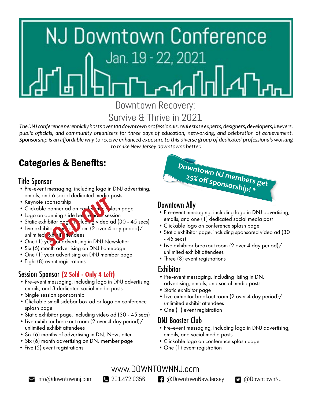

## Downtown Recovery: Survive & Thrive in 2021

*The DNJ conference perennially hosts over 100 downtown professionals, real estate experts, designers, developers, lawyers, public officials, and community organizers for three days of education, networking, and celebration of achievement. Sponsorship is an affordable way to receive enhanced exposure to this diverse group of dedicated professionals working to make New Jersey downtowns better.* 

## Categories & Benefits:

## Title Sponsor

- •Pre-event messaging, including logo in DNJ advertising, emails, and 6 social dedicated media posts
- Keynote sponsorship
- Clickable banner ad on confer in a splash page
- Logo on opening slide before each session
- Static exhibitor page, in cluding video ad (30 45 secs)
- Live exhibitor  $\log$  count  $\log(2)$  over 4 day period)/ unlimited xh it thendees sponsorship<br>sponsorship<br>e banner ad on conte<br>opening slide bei **Te**<br>opening slide bei **Te**<br>bibitor page **Te** duom (2 over 4<br>bitor advertising in DNJ Nevel<br>year of advertising in DNJ Nevel
- One (1) year of advertising in DNJ Newsletter
- •Six (6) month advertising on DNJ homepage
- •One (1) year advertising on DNJ member page
- Eight (8) event registrations

## Session Sponsor **(2 Sold - Only 4 Left)**

- •Pre-event messaging, including logo in DNJ advertising, emails, and 3 dedicated social media posts
- Single session sponsorship
- •Clickable small sidebar box ad or logo on conference splash page
- •Static exhibitor page, including video ad (30 45 secs)
- •Live exhibitor breakout room (2 over 4 day period)/ unlimited exhibit attendees
- •Six (6) months of advertising in DNJ Newsletter
- •Six (6) month advertising on DNJ member page
- Five (5) event registrations



## Downtown Ally

- •Pre-event messaging, including logo in DNJ advertising, emails, and one (1) dedicated social media post
- •Clickable logo on conference splash page
- •Static exhibitor page, including sponsored video ad (30 - 45 secs)
- •Live exhibitor breakout room (2 over 4 day period)/ unlimited exhibit attendees
- Three (3) event registrations

## **Exhibitor**

- Pre-event messaging, including listing in DNJ advertising, emails, and social media posts
- •Static exhibitor page
- •Live exhibitor breakout room (2 over 4 day period)/ unlimited exhibit attendees
- One (1) event registration

## DNJ Booster Club

- •Pre-event messaging, including logo in DNJ advertising, emails, and social media posts
- •Clickable logo on conference splash page
- One (1) event registration

www.DOWNTOWNNJ.com

[info@downtownnj.com](mailto:info%40downtownnj.com?subject=DNJ%20Conference%20Inquiry) 201.472.0356 [@DowntownNewJersey](https://www.facebook.com/DowntownNewJersey/) [@DowntownNJ](https://twitter.com/downtownnj)